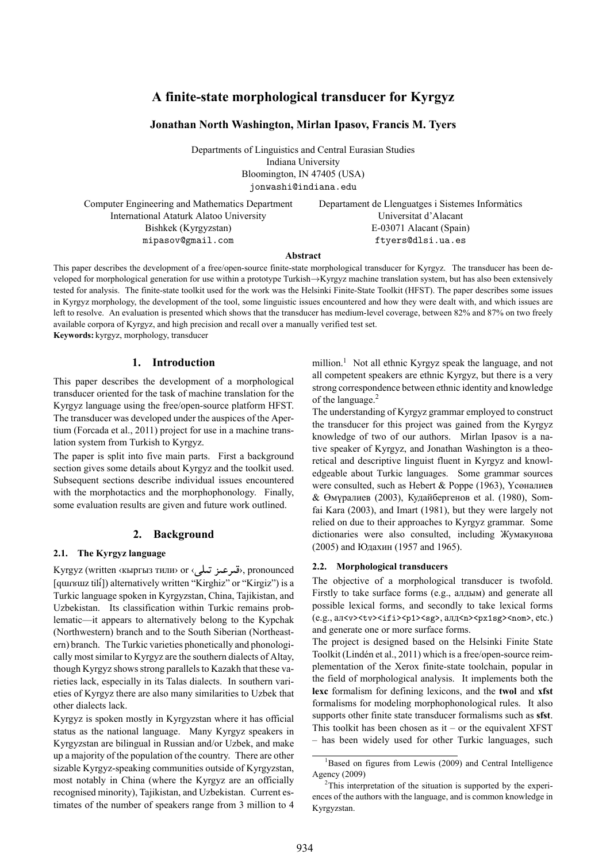# **A finite-state morphological transducer for Kyrgyz**

# **Jonathan North Washington, Mirlan Ipasov, Francis M. Tyers**

Departments of Linguistics and Central Eurasian Studies Indiana University Bloomington, IN 47405 (USA) jonwashi@indiana.edu

Computer Engineering and Mathematics Department International Ataturk Alatoo University Bishkek (Kyrgyzstan) mipasov@gmail.com

Departament de Llenguatges i Sistemes Informàtics Universitat d'Alacant E-03071 Alacant (Spain) ftyers@dlsi.ua.es

#### **Abstract**

This paper describes the development of a free/open-source finite-state morphological transducer for Kyrgyz. The transducer has been developed for morphological generation for use within a prototype Turkish*→*Kyrgyz machine translation system, but has also been extensively tested for analysis. The finite-state toolkit used for the work was the Helsinki Finite-State Toolkit (HFST). The paper describes some issues in Kyrgyz morphology, the development of the tool, some linguistic issues encountered and how they were dealt with, and which issues are left to resolve. An evaluation is presented which shows that the transducer has medium-level coverage, between 82% and 87% on two freely available corpora of Kyrgyz, and high precision and recall over a manually verified test set. **Keywords:** kyrgyz, morphology, transducer

**1. Introduction**

This paper describes the development of a morphological transducer oriented for the task of machine translation for the Kyrgyz language using the free/open-source platform HFST. The transducer was developed under the auspices of the Apertium (Forcada et al., 2011) project for use in a machine translation system from Turkish to Kyrgyz.

The paper is split into five main parts. First a background section gives some details about Kyrgyz and the toolkit used. Subs[equent section](#page-6-0)s [desc](#page-6-0)ribe individual issues encountered with the morphotactics and the morphophonology. Finally, some evaluation results are given and future work outlined.

### **2. Background**

#### **2.1. The Kyrgyz language**

Kyrgyz (written ‹кыргыз тили› or ‹قىرعىز تىلى› pronounced [qɯɾʁɯz tilí]) alternatively written "Kirghiz" or "Kirgiz") is a Turkic language spoken in Kyrgyzstan, China, Tajikistan, and Uzbekistan. Its classification within Turkic remains problematic—it appears to alternatively belong to the Kypchak (Northwestern) branch and to the South Siberian (Northeastern) branch. The Turkic varieties phonetically and phonologically most similar to Kyrgyz are the southern dialects of Altay, though Kyrgyz shows strong parallels to Kazakh that these varieties lack, especially in its Talas dialects. In southern varieties of Kyrgyz there are also many similarities to Uzbek that other dialects lack.

Kyrgyz is spoken mostly in Kyrgyzstan where it has official status as the national language. Many Kyrgyz speakers in Kyrgyzstan are bilingual in Russian and/or Uzbek, and make up a majority of the population of the country. There are other sizable Kyrgyz-speaking communities outside of Kyrgyzstan, most notably in China (where the Kyrgyz are an officially recognised minority), Tajikistan, and Uzbekistan. Current estimates of the number of speakers range from 3 million to 4 million.<sup>1</sup> Not all ethnic Kyrgyz speak the language, and not all competent speakers are ethnic Kyrgyz, but there is a very strong correspondence between ethnic identity and knowledge of the language.<sup>2</sup>

The un[de](#page-0-0)rstanding of Kyrgyz grammar employed to construct the transducer for this project was gained from the Kyrgyz knowledge of two of our authors. Mirlan Ipasov is a native speaker of [K](#page-0-1)yrgyz, and Jonathan Washington is a theoretical and descriptive linguist fluent in Kyrgyz and knowledgeable about Turkic languages. Some grammar sources were consulted, such as Hebert & Poppe (1963), Үсөналиев & Өмүралиев (2003), Кудайбергенов et al. (1980), Somfai Kara (2003), and Imart (1981), but they were largely not relied on due to their approaches to Kyrgyz grammar. Some dictionaries were also [consulted, including](#page-6-1) [Жумакунова](#page-6-2) [\(2005\) and](#page-6-2) Юда[хин](#page-6-2) (1957 and [1965\).](#page-6-3)

#### **[2.2. M](#page-6-4)o[rphol](#page-6-4)ogica[l transducer](#page-6-5)s**

The objective of a morphological transduce[r is twofold.](#page-6-6) [Firstly](#page-6-6) tot[ake surface form](#page-6-7)s ([e.g., а](#page-6-8)лдым) and generate all possible lexical forms, and secondly to take lexical forms (e.g., aл<v><tv><ifi><p1><sg>, aлд<n><px1sg><nom>, etc.) and generate one or more surface forms.

The project is designed based on the Helsinki Finite State Toolkit (Lindén et al., 2011) which is a free/open-source reimplementation of the Xerox finite-state toolchain, popular in the field of morphological analysis. It implements both the **lexc** formalism for defining lexicons, and the **twol** and **xfst** formalis[ms for modeling m](#page-6-9)orphophonological rules. It also supports other finite state transducer formalisms such as **sfst**. This toolkit has been chosen as it – or the equivalent  $XFST$ – has been widely used for other Turkic languages, such

 $1B$ ased on figures from Lewis (2009) and Central Intelligence Agency (2009)

<span id="page-0-1"></span><span id="page-0-0"></span><sup>&</sup>lt;sup>2</sup>This interpretation of the situation is supported by the experiences of the authors with the language, and is common knowledge in Kyrgyzstan.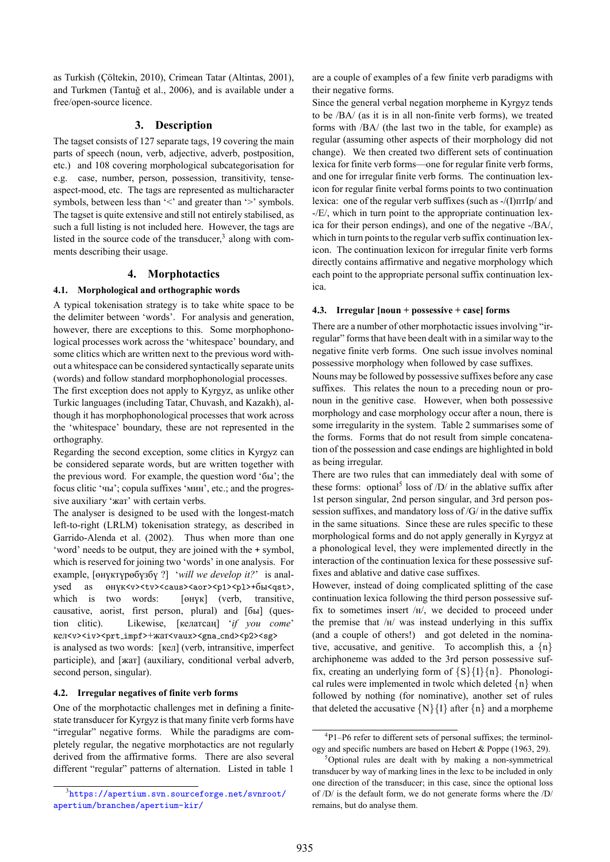as Turkish (Çöltekin, 2010), Crimean Tatar (Altintas, 2001), and Turkmen (Tantuğ et al., 2006), and is available under a free/open-source licence.

# **[3. D](#page-6-10)escription**

The tagset con[sists of 127 separate](#page-6-11) tags, 19 covering the main parts of speech (noun, verb, adjective, adverb, postposition, etc.) and 108 covering morphological subcategorisation for e.g. case, number, person, possession, transitivity, tenseaspect-mood, etc. The tags are represented as multicharacter symbols, between less than '<' and greater than '>' symbols. The tagset is quite extensive and still not entirely stabilised, as such a full listing is not included here. However, the tags are listed in the source code of the transducer, $3$  along with comments describing their usage.

# **4. Morphotactics**

### **4.1. Morphological and orthographic w[o](#page-1-0)rds**

A typical tokenisation strategy is to take white space to be the delimiter between 'words'. For analysis and generation, however, there are exceptions to this. Some morphophonological processes work across the 'whitespace' boundary, and some clitics which are written next to the previous word without a whitespace can be considered syntactically separate units (words) and follow standard morphophonologial processes.

The first exception does not apply to Kyrgyz, as unlike other Turkic languages (including Tatar, Chuvash, and Kazakh), although it has morphophonological processes that work across the 'whitespace' boundary, these are not represented in the orthography.

Regarding the second exception, some clitics in Kyrgyz can be considered separate words, but are written together with the previous word. For example, the question word 'бы'; the focus clitic 'чы'; copula suffixes 'мин', etc.; and the progressive auxiliary 'жат' with certain verbs.

The analyser is designed to be used with the longest-match left-to-right (LRLM) tokenisation strategy, as described in Garrido-Alenda et al. (2002). Thus when more than one 'word' needs to be output, they are joined with the + symbol, which is reserved for joining two 'words' in one analysis. For example, [өнүктүрөбүзбү ?] '*will we develop it?*' is analysed as  $\Theta$  +  $\Theta$  +  $\Theta$  +  $\Theta$  +  $\Theta$  +  $\Theta$  +  $\Theta$  +  $\Theta$  +  $\Theta$  +  $\Theta$  +  $\Theta$  +  $\Theta$  +  $\Theta$  +  $\Theta$  +  $\Theta$  +  $\Theta$  +  $\Theta$  +  $\Theta$  +  $\Theta$  +  $\Theta$  +  $\Theta$  +  $\Theta$  +  $\Theta$  +  $\Theta$  +  $\Theta$  +  $\Theta$  +  $\Theta$  +  $\Theta$  +  $\Theta$  +  $\Theta$  +  $\Theta$ which is two words: [өнүк] (verb, transitive, causative, aorist, first person, plural) and [бы] (question clitic). Likewise, [келатсаң] '*if you come*' кел<v>>>>><prt\_impf>+жат<vaux><gna\_cnd><p2><sg> is analysed as two words: [кел] (verb, intransitive, imperfect participle), and [жат] (auxiliary, conditional verbal adverb, second person, singular).

### **4.2. Irregular negatives of finite verb forms**

One of the morphotactic challenges met in defining a finitestate transducer for Kyrgyz is that many finite verb forms have "irregular" negative forms. While the paradigms are completely regular, the negative morphotactics are not regularly derived from the affirmative forms. There are also several different "regular" patterns of alternation. Listed in table 1

are a couple of examples of a few finite verb paradigms with their negative forms.

Since the general verbal negation morpheme in Kyrgyz tends to be /BA/ (as it is in all non-finite verb forms), we treated forms with /BA/ (the last two in the table, for example) as regular (assuming other aspects of their morphology did not change). We then created two different sets of continuation lexica for finite verb forms—one for regular finite verb forms, and one for irregular finite verb forms. The continuation lexicon for regular finite verbal forms points to two continuation lexica: one of the regular verb suffixes (such as -/(I)птIр/ and -/E/, which in turn point to the appropriate continuation lexica for their person endings), and one of the negative -/BA/, which in turn points to the regular verb suffix continuation lexicon. The continuation lexicon for irregular finite verb forms directly contains affirmative and negative morphology which each point to the appropriate personal suffix continuation lexica.

## **4.3. Irregular [noun + possessive + case] forms**

There are a number of other morphotactic issues involving "irregular" forms that have been dealt with in a similar way to the negative finite verb forms. One such issue involves nominal possessive morphology when followed by case suffixes.

Nouns may be followed by possessive suffixes before any case suffixes. This relates the noun to a preceding noun or pronoun in the genitive case. However, when both possessive morphology and case morphology occur after a noun, there is some irregularity in the system. Table 2 summarises some of the forms. Forms that do not result from simple concatenation of the possession and case endings are highlighted in bold as being irregular.

There are two rules that can immedia[tel](#page-2-0)y deal with some of these forms: optional<sup>5</sup> loss of  $/D/$  in the ablative suffix after 1st person singular, 2nd person singular, and 3rd person possession suffixes, and mandatory loss of /G/ in the dative suffix in the same situations. Since these are rules specific to these morphological forms [an](#page-1-1)d do not apply generally in Kyrgyz at a phonological level, they were implemented directly in the interaction of the continuation lexica for these possessive suffixes and ablative and dative case suffixes.

However, instead of doing complicated splitting of the case continuation lexica following the third person possessive suffix to sometimes insert /н/, we decided to proceed under the premise that /н/ was instead underlying in this suffix (and a couple of others!) and got deleted in the nominative, accusative, and genitive. To accomplish this, a *{*n*}* archiphoneme was added to the 3rd person possessive suffix, creating an underlying form of *{*S*}{*I*}{*n*}*. Phonological rules were implemented in twolc which deleted *{*n*}* when followed by nothing (for nominative), another set of rules that deleted the accusative  $\{N\}\{I\}$  after  $\{n\}$  and a morpheme

<span id="page-1-0"></span><sup>3</sup> https://apertium.svn.sourceforge.net/svnroot/ apertium/branches/apertium-kir/

<sup>4</sup> P1–P6 refer to different sets of personal suffixes; the terminology and specific numbers are based on Hebert & Poppe (1963, 29).

<span id="page-1-2"></span><span id="page-1-1"></span><sup>&</sup>lt;sup>5</sup>Optional rules are dealt with by making a non-symmetrical transducer by way of marking lines in the lexc to be included in only one direction of the transducer; in this case, since the optional loss of /D/ is the default form, we do not [generate forms where th](#page-6-1)e /D/ remains, but do analyse them.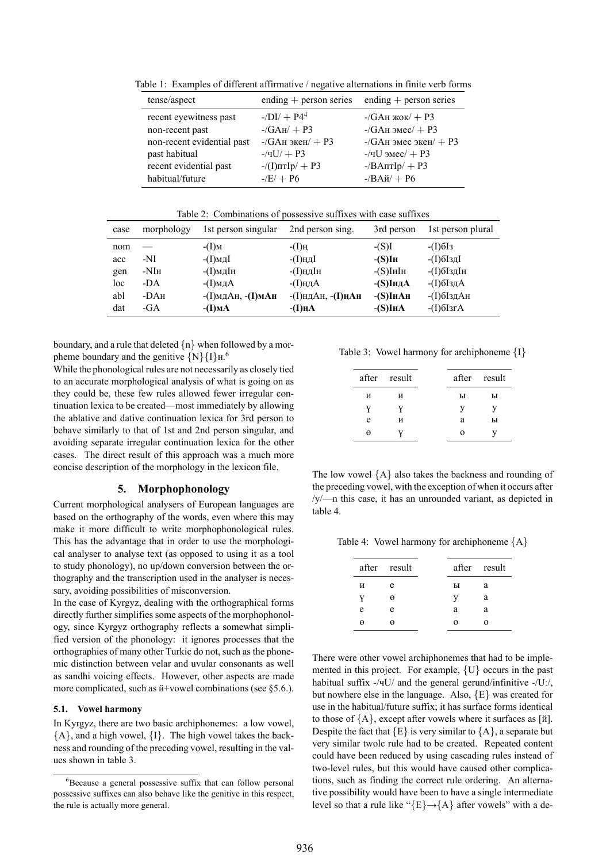Table 1: Examples of different affirmative / negative alternations in finite verb forms

| tense/aspect               | ending $+$ person series                        | ending $+$ person series          |
|----------------------------|-------------------------------------------------|-----------------------------------|
| recent eyewitness past     | $-$ /DI/ + P4 <sup>4</sup>                      | $-\gamma$ GAн жок $/ + P3$        |
| non-recent past            | $-\sqrt{G}$ A <sub>H</sub> $/$ + P <sub>3</sub> | $-$ /GAн эмес $/ + P3$            |
| non-recent evidential past | $-$ /GAн экен/ + P3                             | $-\gamma$ GAн эмес экен $/ + P3$  |
| past habitual              | $-$ /4U/ + P3                                   | $-$ /чU эмес $/ + P3$             |
| recent evidential past     | $-\frac{1}{\ln\ln\ln\theta}$ + P3               | $-$ /BA $\pi$ T $\text{lp}/$ + P3 |
| habitual/future            | $-E/ + P6$                                      | $-$ /BA $\check{n}$ / + P6        |

Table 2: Combinations of possessive suffixes with case suffixes

<span id="page-2-0"></span>

| case | morphology       | 1st person singular     | 2nd person sing.        | 3rd person      | 1st person plural                 |
|------|------------------|-------------------------|-------------------------|-----------------|-----------------------------------|
| nom  |                  | $-(I)$ M                | $-(I)$ H                | $-(S)I$         | $-(I)$ <sup>6</sup> <sup>I3</sup> |
| acc  | -NI              | -(I)мд $I$              | -(I)нд $I$              | $-(S)$ Lh       | -(I)бIздI                         |
| gen  | -NI <sub>H</sub> | -(I)мдIн                | -(I)ңдIн                | $-(S)$ IHIH     | -(I)бІздІн                        |
| loc  | -DA              | -(I)мд $A$              | -(I)ңд $A$              | $-(S)IH \Delta$ | -(I)бIзд $A$                      |
| abl  | $-DAH$           | $-(I)$ мдАн, $-(I)$ мАн | $-(I)$ ндАн, $-(I)$ ңАн | -(S)Iн $A$ н    | -(І)бІздАн                        |
| dat  | -GA              | $-I$ ) $MA$             | $-I$ ) $HA$             | $-(S)$ Ih $A$   | $-I$ ) $6I$ 3 $rA$                |

boundary, and a rule that deleted *{*n*}* when followed by a morpheme boundary and the genitive *{*N*}{*I*}*н.<sup>6</sup>

While the phonological rules are not necessarily as closely tied to an accurate morphological analysis of what is going on as they could be, these few rules allowed fewer irregular continuation lexica to be created—most immed[ia](#page-2-1)tely by allowing the ablative and dative continuation lexica for 3rd person to behave similarly to that of 1st and 2nd person singular, and avoiding separate irregular continuation lexica for the other cases. The direct result of this approach was a much more concise description of the morphology in the lexicon file.

# **5. Morphophonology**

Current morphological analysers of European languages are based on the orthography of the words, even where this may make it more difficult to write morphophonological rules. This has the advantage that in order to use the morphological analyser to analyse text (as opposed to using it as a tool to study phonology), no up/down conversion between the orthography and the transcription used in the analyser is necessary, avoiding possibilities of misconversion.

In the case of Kyrgyz, dealing with the orthographical forms directly further simplifies some aspects of the morphophonology, since Kyrgyz orthography reflects a somewhat simplified version of the phonology: it ignores processes that the orthographies of many other Turkic do not, such as the phonemic distinction between velar and uvular consonants as well as sandhi voicing effects. However, other aspects are made more complicated, such as  $\text{M}+$ vowel combinations (see §5.6.).

# **5.1. Vowel harmony**

In Kyrgyz, there are two basic archiphonemes: a low vowel, *{*A*}*, and a high vowel, *{*I*}*. The high vowel takes the [back](#page-4-0)ness and rounding of the preceding vowel, resulting in the values shown in table 3.

Table 3: Vowel harmony for archiphoneme *{*I*}*

<span id="page-2-2"></span>

|   | after result |   | after result |
|---|--------------|---|--------------|
| И | И            | ы | ы            |
| Y |              | V |              |
| e | И            | a | ы            |
| Θ |              | 0 |              |
|   |              |   |              |

The low vowel *{*A*}* also takes the backness and rounding of the preceding vowel, with the exception of when it occurs after /у/—n this case, it has an unrounded variant, as depicted in table 4.

Table 4: Vowel harmony for archiphoneme *{*A*}*

|   | after result |          | after result |
|---|--------------|----------|--------------|
| И | e            | ы        | a            |
| V | θ            | V        | a            |
| e | e            | a        | a            |
| A |              | $\Omega$ | റ            |

There were other vowel archiphonemes that had to be implemented in this project. For example, *{*U*}* occurs in the past habitual suffix -/чU/ and the general gerund/infinitive -/Uː/, but nowhere else in the language. Also, *{*E*}* was created for use in the habitual/future suffix; it has surface forms identical to those of *{*A*}*, except after vowels where it surfaces as [й]. Despite the fact that  ${E}$  is very similar to  ${A}$ , a separate but very similar twolc rule had to be created. Repeated content could have been reduced by using cascading rules instead of two-level rules, but this would have caused other complications, such as finding the correct rule ordering. An alternative possibility would have been to have a single intermediate level so that a rule like "*{*E*}*→*{*A*}* after vowels" with a de-

<span id="page-2-1"></span> ${}^{6}$ Because a general possessive suffix that can follow personal possessive suffixes can also behave like the genitive in this respect, the rule is actually m[or](#page-2-2)e general.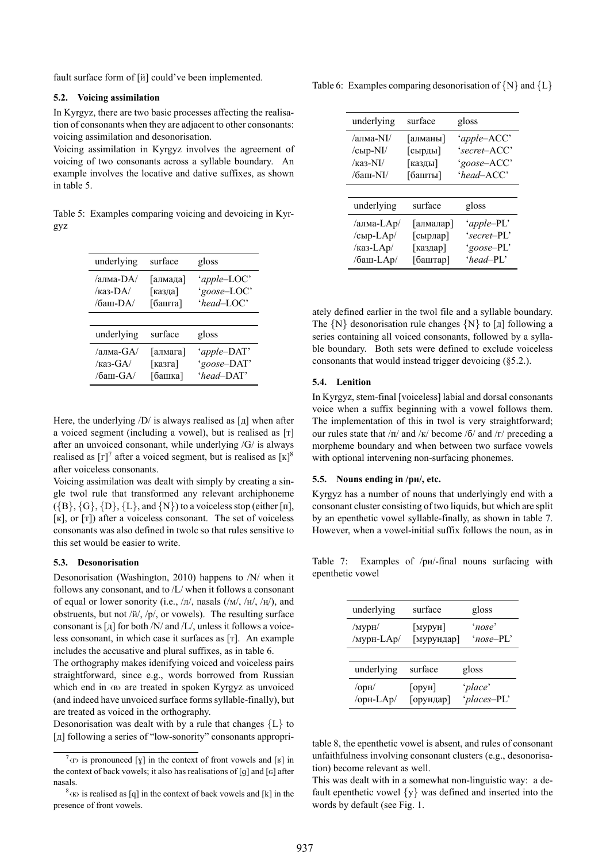fault surface form of [й] could've been implemented.

#### **5.2. Voicing assimilation**

In Kyrgyz, there are two basic processes affecting the realisation of consonants when they are adjacent to other consonants: voicing assimilation and desonorisation.

<span id="page-3-3"></span>Voicing assimilation in Kyrgyz involves the agreement of voicing of two consonants across a syllable boundary. An example involves the locative and dative suffixes, as shown in table 5.

Table 5: Examples comparing voicing and devoicing in Kyrgyz

| underlying                             | surface                        | gloss                                    |
|----------------------------------------|--------------------------------|------------------------------------------|
| /алма-DA/<br>/каз-DA<br>$/6$ аш-DA $/$ | [алмада]<br>[казда]<br>[башта] | 'apple-LOC'<br>'goose-LOC'<br>'head-LOC' |
|                                        |                                |                                          |
| underlying                             | surface                        | gloss                                    |
| /алма-GA/<br>/каз-GA/<br>/баш- $GA/$   | [алмага]<br>[казга]<br>[башка] | 'apple-DAT'<br>'goose-DAT'<br>'head-DAT' |

Here, the underlying  $\overline{D}$  is always realised as [ $\overline{A}$ ] when after a voiced segment (including a vowel), but is realised as [т] after an unvoiced consonant, while underlying /G/ is always realised as  $[r]^7$  after a voiced segment, but is realised as  $[\kappa]^8$ after voiceless consonants.

Voicing assimilation was dealt with simply by creating a single twol rule that transformed any relevant archiphoneme (*{*B*}*, *{*G*}*, *{*[D](#page-3-0)*}*, *{*L*}*, and *{*N*}*) to a voiceless stop (either [п[\],](#page-3-1) [к], or [т]) after a voiceless consonant. The set of voiceless consonants was also defined in twolc so that rules sensitive to this set would be easier to write.

#### **5.3. Desonorisation**

Desonorisation (Washington, 2010) happens to /N/ when it follows any consonant, and to /L/ when it follows a consonant of equal or lower sonority (i.e.,  $/\pi/$ , nasals ( $/M/$ ,  $/H/$ ,  $/H/$ ), and obstruents, but not /й/, /р/, or vowels). The resulting surface consonant is  $[\,\pi]$  [for both /N/ and /L/](#page-6-13), unless it follows a voiceless consonant, in which case it surfaces as [т]. An example includes the accusative and plural suffixes, as in table 6.

The orthography makes idenifying voiced and voiceless pairs straightforward, since e.g., words borrowed from Russian which end in «в» are treated in spoken Kyrgyz as unvoiced (and indeed have unvoiced surface forms syllable-final[ly](#page-3-2)), but are treated as voiced in the orthography.

Desonorisation was dealt with by a rule that changes *{*L*}* to [д] following a series of "low-sonority" consonants appropri-

Table 6: Examples comparing desonorisation of *{*N*}* and *{*L*}*

<span id="page-3-2"></span>

| underlying             | surface           | gloss        |
|------------------------|-------------------|--------------|
| /апма-NI/              | [алманы]          | 'apple-ACC'  |
| /сыр-NI/               | [сырды]           | 'secret-ACC' |
| $\frac{\pi a}{\tan 2}$ | [казды]           | 'goose-ACC'  |
| /баш-NI/               | [башты]           | $'head$ ACC' |
|                        |                   |              |
| underlying             | surface           | gloss        |
| /алма-LAp/             | [алмалар]         | 'apple-PL'   |
| /сыр-LAp/              | $[\text{сырлар}]$ | 'secret-PL'  |
| /каз-LAp/              | [каздар]          | 'goose-PL'   |
| /баш-LAp/              | [баштар]          | $'head-PL'$  |

ately defined earlier in the twol file and a syllable boundary. The *{*N*}* desonorisation rule changes *{*N*}* to [д] following a series containing all voiced consonants, followed by a syllable boundary. Both sets were defined to exclude voiceless consonants that would instead trigger devoicing (§5.2.).

### **5.4. Lenition**

In Kyrgyz, stem-final [voiceless] labial and dorsal consonants voice when a suffix beginning with a vowel foll[ows](#page-3-3) them. The implementation of this in twol is very straightforward; our rules state that  $/\pi$  and  $/\kappa$  become /6/ and  $/\tau$  preceding a morpheme boundary and when between two surface vowels with optional intervening non-surfacing phonemes.

# **5.5. Nouns ending in /рн/, etc.**

Kyrgyz has a number of nouns that underlyingly end with a consonant cluster consisting of two liquids, but which are split by an epenthetic vowel syllable-finally, as shown in table 7. However, when a vowel-initial suffix follows the noun, as in

Table 7: Examples of /рн/-final nouns surfacing wi[th](#page-3-4) epenthetic vowel

<span id="page-3-4"></span>

| underlying                               | surface                               | gloss                  |
|------------------------------------------|---------------------------------------|------------------------|
| /мурн/<br>/мурн-LAp/                     | $\lceil$ MYPYH $\rceil$<br>[мурундар] | 'nose'<br>'nose-PL'    |
|                                          |                                       |                        |
| underlying                               | surface                               | gloss                  |
| $\alpha$ <sub>O</sub> $\mu$<br>/opн-LAp/ | $[op$ v $H]$<br>[орундар]             | 'place'<br>'places-PL' |

table 8, the epenthetic vowel is absent, and rules of consonant unfaithfulness involving consonant clusters (e.g., desonorisation) become relevant as well.

This was dealt with in a somewhat non-linguistic way: a default [ep](#page-4-1)enthetic vowel *{*y*}* was defined and inserted into the words by default (see Fig. 1.

 $\sigma^7$ <sub>(T)</sub> is pronounced [y] in the context of front vowels and [ʁ] in the context of back vowels; it also has realisations of [g] and [ $G$ ] after nasals.

<span id="page-3-1"></span><span id="page-3-0"></span> $8<sup>8</sup>$  (K) is realised as [q] in the context of back vowels and [k] in the presence of front vowels.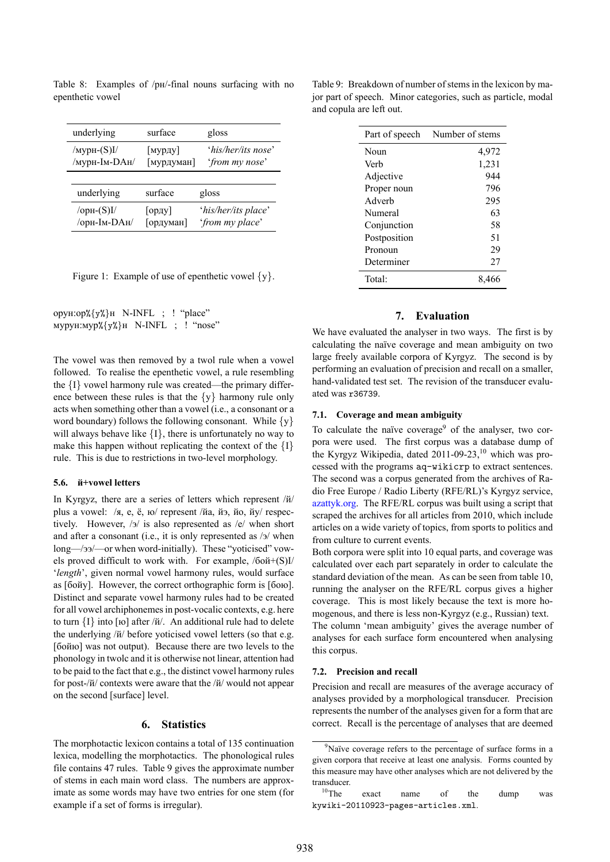Table 8: Examples of /pH/-final nouns surfacing with no epenthetic vowel

<span id="page-4-1"></span>

| underlying                            | surface               | gloss                                  |
|---------------------------------------|-----------------------|----------------------------------------|
| /мурн- $(S)I/$<br>/мурн-Ім-DАн/       | [мурду]<br>[мурдуман] | 'his/her/its nose'<br>'from my nose'   |
|                                       |                       |                                        |
| underlying                            | surface               | gloss                                  |
| $\sqrt{\text{opt-S}}$<br>/орн-Ім-DАн/ | [opay]<br>[ордуман]   | 'his/her/its place'<br>'from my place' |

|  |  | Figure 1: Example of use of epenthetic vowel $\{y\}$ . |  |
|--|--|--------------------------------------------------------|--|
|  |  |                                                        |  |

орун:ор%*{*y%*}*н N-INFL ; ! "place" мурун:мур%*{*y%*}*н N-INFL ; ! "nose"

The vowel was then removed by a twol rule when a vowel followed. To realise the epenthetic vowel, a rule resembling the *{*I*}* vowel harmony rule was created—the primary difference between these rules is that the *{*y*}* harmony rule only acts when something other than a vowel (i.e., a consonant or a word boundary) follows the following consonant. While *{*y*}* will always behave like *{*I*}*, there is unfortunately no way to make this happen without replicating the context of the *{*I*}* rule. This is due to restrictions in two-level morphology.

### **5.6. й+vowel letters**

<span id="page-4-0"></span>In Kyrgyz, there are a series of letters which represent /й/ plus a vowel: /я, е, ё, ю/ represent /йа, йэ, йо, йу/ respectively. However, /э/ is also represented as /е/ when short and after a consonant (i.e., it is only represented as /э/ when long—/ээ/—or when word-initially). These "yoticised" vowels proved difficult to work with. For example, /бой+(S)I/ '*length*', given normal vowel harmony rules, would surface as [бойу]. However, the correct orthographic form is [бою]. Distinct and separate vowel harmony rules had to be created for all vowel archiphonemes in post-vocalic contexts, e.g. here to turn *{*I*}* into [ю] after /й/. An additional rule had to delete the underlying /й/ before yoticised vowel letters (so that e.g. [бойю] was not output). Because there are two levels to the phonology in twolc and it is otherwise not linear, attention had to be paid to the fact that e.g., the distinct vowel harmony rules for post-/й/ contexts were aware that the /й/ would not appear on the second [surface] level.

### **6. Statistics**

The morphotactic lexicon contains a total of 135 continuation lexica, modelling the morphotactics. The phonological rules file contains 47 rules. Table 9 gives the approximate number of stems in each main word class. The numbers are approximate as some words may have two entries for one stem (for example if a set of forms is irregular).

Table 9: Breakdown of number of stems in the lexicon by major part of speech. Minor categories, such as particle, modal and copula are left out.

| Number of stems |
|-----------------|
| 4,972           |
| 1,231           |
| 944             |
| 796             |
| 295             |
| 63              |
| 58              |
| 51              |
| 29              |
| 27              |
| 8.466           |
|                 |

# **7. Evaluation**

We have evaluated the analyser in two ways. The first is by calculating the naïve coverage and mean ambiguity on two large freely available corpora of Kyrgyz. The second is by performing an evaluation of precision and recall on a smaller, hand-validated test set. The revision of the transducer evaluated was r36739.

#### **7.1. Coverage and mean ambiguity**

To calculate the naïve coverage<sup>9</sup> of the analyser, two corpora were used. The first corpus was a database dump of the Kyrgyz Wikipedia, dated  $2011-09-23$ , which was processed with the programs aq-wikicrp to extract sentences. The second was a corpus genera[te](#page-4-2)d from the archives of Radio Free Europe / Radio Liberty (RFE/RL)'s Kyrgyz service, azattyk.org. The RFE/RL corpus was buil[t u](#page-4-3)sing a script that scraped the archives for all articles from 2010, which include articles on a wide variety of topics, from sports to politics and from culture to current events.

[Both corpor](http://www.azattyk.org)a were split into 10 equal parts, and coverage was calculated over each part separately in order to calculate the standard deviation of the mean. As can be seen from table 10, running the analyser on the RFE/RL corpus gives a higher coverage. This is most likely because the text is more homogenous, and there is less non-Kyrgyz (e.g., Russian) text. The column 'mean ambiguity' gives the average numbe[r of](#page-5-0) analyses for each surface form encountered when analysing this corpus.

#### **7.2. Precision and recall**

Precision and recall are measures of the average accuracy of analyses provided by a morphological transducer. Precision represents the number of the analyses given for a form that are correct. Recall is the percentage of analyses that are deemed

<sup>&</sup>lt;sup>9</sup>Naïve coverage refers to the percentage of surface forms in a given corpora that receive at least one analysis. Forms counted by this measure may have other analyses which are not delivered by the transducer.<br><sup>10</sup>The

<span id="page-4-3"></span><span id="page-4-2"></span><sup>&</sup>lt;sup>10</sup>The exact name of the dump was kywiki-20110923-pages-articles.xml.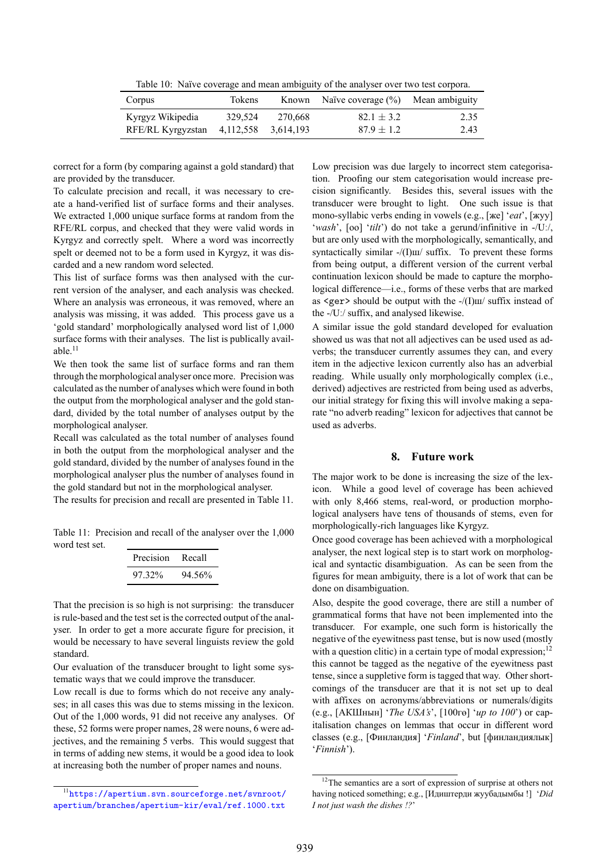Table 10: Naïve coverage and mean ambiguity of the analyser over two test corpora.

| Corpus            | Tokens              |         | Known Naïve coverage $(\%)$ Mean ambiguity |      |
|-------------------|---------------------|---------|--------------------------------------------|------|
| Kyrgyz Wikipedia  | 329.524             | 270.668 | $82.1 \pm 3.2$                             | 2.35 |
| RFE/RL Kyrgyzstan | 4,112,558 3,614,193 |         | $87.9 \pm 1.2$                             | 2.43 |

<span id="page-5-0"></span>correct for a form (by comparing against a gold standard) that are provided by the transducer.

To calculate precision and recall, it was necessary to create a hand-verified list of surface forms and their analyses. We extracted 1,000 unique surface forms at random from the RFE/RL corpus, and checked that they were valid words in Kyrgyz and correctly spelt. Where a word was incorrectly spelt or deemed not to be a form used in Kyrgyz, it was discarded and a new random word selected.

This list of surface forms was then analysed with the current version of the analyser, and each analysis was checked. Where an analysis was erroneous, it was removed, where an analysis was missing, it was added. This process gave us a 'gold standard' morphologically analysed word list of 1,000 surface forms with their analyses. The list is publically available. $11$ 

We then took the same list of surface forms and ran them through the morphological analyser once more. Precision was calculated as the number of analyses which were found in both the o[ut](#page-5-1)put from the morphological analyser and the gold standard, divided by the total number of analyses output by the morphological analyser.

Recall was calculated as the total number of analyses found in both the output from the morphological analyser and the gold standard, divided by the number of analyses found in the morphological analyser plus the number of analyses found in the gold standard but not in the morphological analyser.

The results for precision and recall are presented in Table 11.

Table 11: Precision and recall of the analyser over the 1,000 word test set.

| <b>Precision</b> | Recall |
|------------------|--------|
| 97 32%           | 94.56% |

That the precision is so high is not surprising: the transducer is rule-based and the test set is the corrected output of the analyser. In order to get a more accurate figure for precision, it would be necessary to have several linguists review the gold standard.

Our evaluation of the transducer brought to light some systematic ways that we could improve the transducer.

Low recall is due to forms which do not receive any analyses; in all cases this was due to stems missing in the lexicon. Out of the 1,000 words, 91 did not receive any analyses. Of these, 52 forms were proper names, 28 were nouns, 6 were adjectives, and the remaining 5 verbs. This would suggest that in terms of adding new stems, it would be a good idea to look at increasing both the number of proper names and nouns.

Low precision was due largely to incorrect stem categorisation. Proofing our stem categorisation would increase precision significantly. Besides this, several issues with the transducer were brought to light. One such issue is that mono-syllabic verbs ending in vowels (e.g., [же] '*eat*', [жуу] '*wash*', [оо] '*tilt*') do not take a gerund/infinitive in -/Uː/, but are only used with the morphologically, semantically, and syntactically similar -/(I) $\text{m}/\text{suffix}$ . To prevent these forms from being output, a different version of the current verbal continuation lexicon should be made to capture the morphological difference—i.e., forms of these verbs that are marked as  $\langle \text{ger} \rangle$  should be output with the  $\frac{1}{\ln x}$  suffix instead of the -/Uː/ suffix, and analysed likewise.

A similar issue the gold standard developed for evaluation showed us was that not all adjectives can be used used as adverbs; the transducer currently assumes they can, and every item in the adjective lexicon currently also has an adverbial reading. While usually only morphologically complex (i.e., derived) adjectives are restricted from being used as adverbs, our initial strategy for fixing this will involve making a separate "no adverb reading" lexicon for adjectives that cannot be used as adverbs.

### **8. Future work**

The major work to be done is increasing the size of the lexicon. While a good level of coverage has been achieved with only 8,466 stems, real-word, or production morphological analysers have tens of thousands of stems, even for morphologically-rich languages like Kyrgyz.

Once good coverage has been achieved with a morphological analyser, the next logical step is to start work on morphological and syntactic disambiguation. As can be seen from the figures for mean ambiguity, there is a lot of work that can be done on disambiguation.

Also, despite the good coverage, there are still a number of grammatical forms that have not been implemented into the transducer. For example, one such form is historically the negative of the eyewitness past tense, but is now used (mostly with a question clitic) in a certain type of modal expression; $^{12}$ this cannot be tagged as the negative of the eyewitness past tense, since a suppletive form is tagged that way. Other shortcomings of the transducer are that it is not set up to deal with affixes on acronyms/abbreviations or numerals/dig[its](#page-5-2) (e.g., [АКШнын] '*The USA's*', [100гө] '*up to 100*') or capitalisation changes on lemmas that occur in different word classes (e.g., [Финландия] '*Finland*', but [финландиялык] '*Finnish*').

<span id="page-5-1"></span><sup>11</sup>https://apertium.svn.sourceforge.net/svnroot/ apertium/branches/apertium-kir/eval/ref.1000.txt

<span id="page-5-2"></span><sup>&</sup>lt;sup>12</sup>The semantics are a sort of expression of surprise at others not having noticed something; e.g., [Идиштерди жуубадымбы !] '*Did I not just wash the dishes !?*'